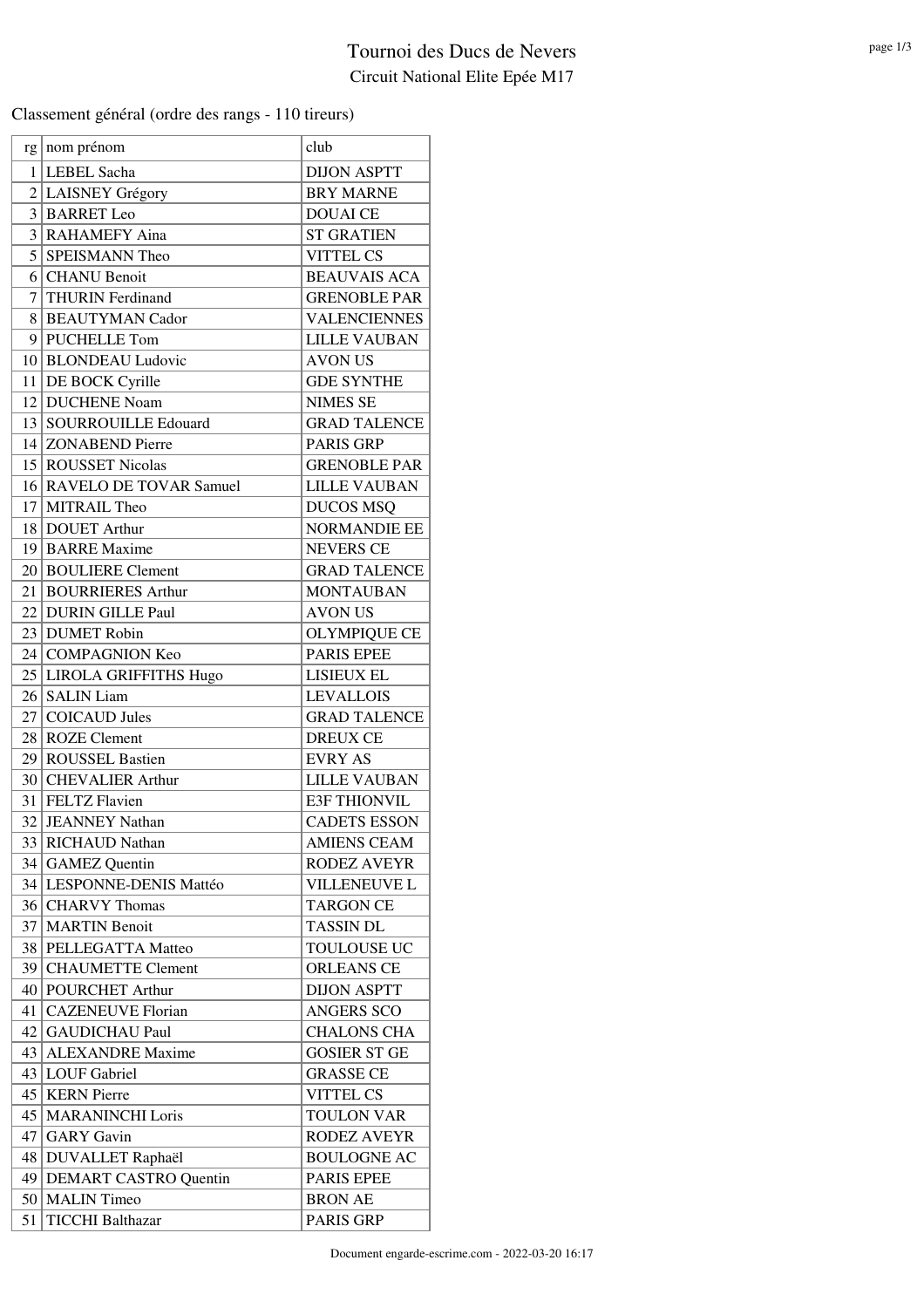## Tournoi des Ducs de Nevers Circuit National Elite Epée M17

Classement général (ordre des rangs - 110 tireurs)

|                 | $rg \mid nom$ prénom                  | club                                    |
|-----------------|---------------------------------------|-----------------------------------------|
| 1               | <b>LEBEL Sacha</b>                    | <b>DIJON ASPTT</b>                      |
| $\overline{2}$  | <b>LAISNEY Grégory</b>                | <b>BRY MARNE</b>                        |
| 3               | <b>BARRET</b> Leo                     | <b>DOUAI CE</b>                         |
| 3               | <b>RAHAMEFY Aina</b>                  | <b>ST GRATIEN</b>                       |
| 5               | <b>SPEISMANN Theo</b>                 | <b>VITTEL CS</b>                        |
| 61              | <b>CHANU</b> Benoit                   | <b>BEAUVAIS ACA</b>                     |
| 7               | <b>THURIN</b> Ferdinand               | <b>GRENOBLE PAR</b>                     |
| 8               | <b>BEAUTYMAN Cador</b>                | <b>VALENCIENNES</b>                     |
|                 | 9 PUCHELLE Tom                        | <b>LILLE VAUBAN</b>                     |
|                 | 10 BLONDEAU Ludovic                   | <b>AVON US</b>                          |
| 11 <sup>1</sup> | DE BOCK Cyrille                       | <b>GDE SYNTHE</b>                       |
| 12 <sub>1</sub> | <b>DUCHENE Noam</b>                   | <b>NIMES SE</b>                         |
|                 | 13   SOURROUILLE Edouard              | <b>GRAD TALENCE</b>                     |
|                 | 14 ZONABEND Pierre                    | <b>PARIS GRP</b>                        |
|                 | 15 ROUSSET Nicolas                    | <b>GRENOBLE PAR</b>                     |
| 16 <sup>1</sup> | <b>RAVELO DE TOVAR Samuel</b>         | <b>LILLE VAUBAN</b>                     |
| 17 <sup>1</sup> | MITRAIL Theo                          | <b>DUCOS MSQ</b>                        |
|                 | 18 DOUET Arthur                       | <b>NORMANDIE EE</b>                     |
|                 | 19 BARRE Maxime                       | <b>NEVERS CE</b>                        |
|                 | 20 BOULIERE Clement                   | <b>GRAD TALENCE</b>                     |
|                 | 21 BOURRIERES Arthur                  | <b>MONTAUBAN</b>                        |
|                 | 22 DURIN GILLE Paul                   | <b>AVON US</b>                          |
|                 | 23 DUMET Robin                        | <b>OLYMPIQUE CE</b>                     |
|                 | 24 COMPAGNION Keo                     | <b>PARIS EPEE</b>                       |
|                 |                                       | LISIEUX EL                              |
|                 | 25 LIROLA GRIFFITHS Hugo              |                                         |
|                 | 26 SALIN Liam<br><b>COICAUD Jules</b> | <b>LEVALLOIS</b><br><b>GRAD TALENCE</b> |
| 27              |                                       |                                         |
| 28              | <b>ROZE</b> Clement                   | <b>DREUX CE</b>                         |
|                 | 29 ROUSSEL Bastien                    | <b>EVRY AS</b>                          |
|                 | 30 CHEVALIER Arthur                   | <b>LILLE VAUBAN</b>                     |
|                 | 31 FELTZ Flavien                      | <b>E3F THIONVIL</b>                     |
| 32              | <b>JEANNEY Nathan</b>                 | <b>CADETS ESSON</b>                     |
|                 | 33 RICHAUD Nathan                     | <b>AMIENS CEAM</b>                      |
|                 | 34 GAMEZ Quentin                      | <b>RODEZ AVEYR</b>                      |
|                 | 34 LESPONNE-DENIS Mattéo              | <b>VILLENEUVE L</b>                     |
|                 | 36 CHARVY Thomas                      | <b>TARGON CE</b>                        |
|                 | 37   MARTIN Benoit                    | <b>TASSIN DL</b>                        |
| 38              | PELLEGATTA Matteo                     | TOULOUSE UC                             |
| 39              | <b>CHAUMETTE Clement</b>              | <b>ORLEANS CE</b>                       |
|                 | 40 POURCHET Arthur                    | <b>DIJON ASPTT</b>                      |
|                 | 41   CAZENEUVE Florian                | <b>ANGERS SCO</b>                       |
| 42              | <b>GAUDICHAU Paul</b>                 | <b>CHALONS CHA</b>                      |
| 43              | <b>ALEXANDRE</b> Maxime               | <b>GOSIER ST GE</b>                     |
| 43              | <b>LOUF</b> Gabriel                   | <b>GRASSE CE</b>                        |
|                 | 45   KERN Pierre                      | <b>VITTEL CS</b>                        |
| 45              | <b>MARANINCHI Loris</b>               | <b>TOULON VAR</b>                       |
| 47              | <b>GARY</b> Gavin                     | <b>RODEZ AVEYR</b>                      |
| 48              | DUVALLET Raphaël                      | <b>BOULOGNE AC</b>                      |
| 49              | <b>DEMART CASTRO Quentin</b>          | <b>PARIS EPEE</b>                       |
|                 | 50   MALIN Timeo                      | <b>BRON AE</b>                          |
| 51              | <b>TICCHI Balthazar</b>               | PARIS GRP                               |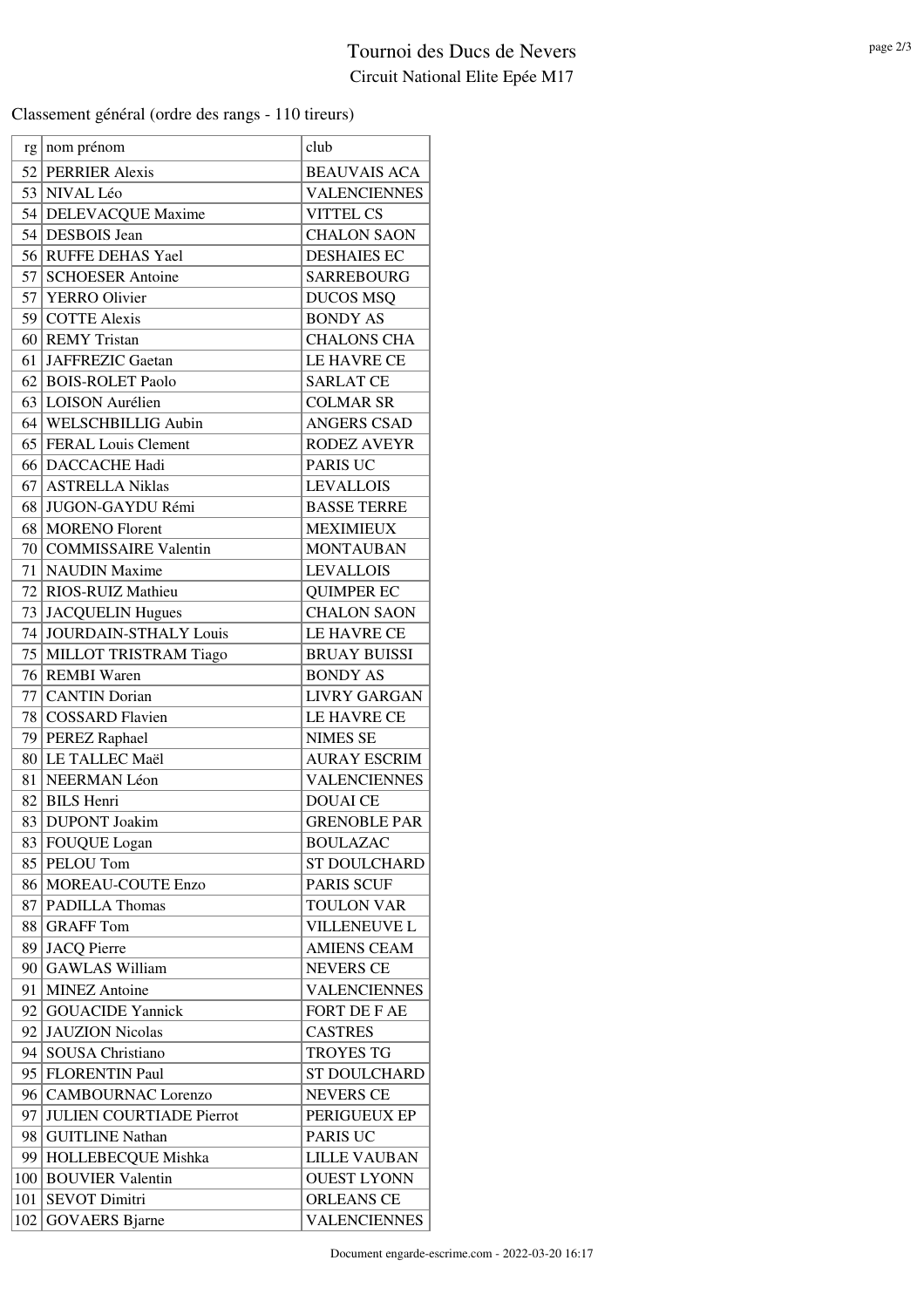## Tournoi des Ducs de Nevers Circuit National Elite Epée M17

Classement général (ordre des rangs - 110 tireurs)

|     | $rg \mid nom$ prénom            | club                |
|-----|---------------------------------|---------------------|
|     | 52 PERRIER Alexis               | <b>BEAUVAIS ACA</b> |
|     | 53 NIVAL Léo                    | <b>VALENCIENNES</b> |
|     | 54 DELEVACQUE Maxime            | <b>VITTEL CS</b>    |
|     | 54 DESBOIS Jean                 | <b>CHALON SAON</b>  |
|     | 56 RUFFE DEHAS Yael             | <b>DESHAIES EC</b>  |
| 57  | <b>SCHOESER Antoine</b>         | <b>SARREBOURG</b>   |
|     | 57 YERRO Olivier                | <b>DUCOS MSQ</b>    |
|     | 59 COTTE Alexis                 | <b>BONDY AS</b>     |
|     | 60 REMY Tristan                 | <b>CHALONS CHA</b>  |
| 61  | <b>JAFFREZIC Gaetan</b>         | LE HAVRE CE         |
|     | 62 BOIS-ROLET Paolo             | <b>SARLAT CE</b>    |
|     | 63 LOISON Aurélien              | <b>COLMAR SR</b>    |
|     | 64 WELSCHBILLIG Aubin           | <b>ANGERS CSAD</b>  |
|     | 65 FERAL Louis Clement          | <b>RODEZ AVEYR</b>  |
|     | 66 DACCACHE Hadi                | <b>PARIS UC</b>     |
| 67  | <b>ASTRELLA Niklas</b>          | <b>LEVALLOIS</b>    |
| 68  | JUGON-GAYDU Rémi                | <b>BASSE TERRE</b>  |
| 68  | <b>MORENO</b> Florent           | <b>MEXIMIEUX</b>    |
|     | 70 COMMISSAIRE Valentin         | <b>MONTAUBAN</b>    |
| 71  | <b>NAUDIN</b> Maxime            | <b>LEVALLOIS</b>    |
|     | 72 RIOS-RUIZ Mathieu            | <b>QUIMPER EC</b>   |
|     | 73 JACQUELIN Hugues             | <b>CHALON SAON</b>  |
| 74  | JOURDAIN-STHALY Louis           | LE HAVRE CE         |
|     | 75 MILLOT TRISTRAM Tiago        | <b>BRUAY BUISSI</b> |
|     | 76 REMBI Waren                  | <b>BONDY AS</b>     |
| 77  | <b>CANTIN Dorian</b>            | <b>LIVRY GARGAN</b> |
|     | 78 COSSARD Flavien              | LE HAVRE CE         |
|     | 79 PEREZ Raphael                | <b>NIMES SE</b>     |
|     | 80 LE TALLEC Maël               | <b>AURAY ESCRIM</b> |
| 81  | NEERMAN Léon                    | <b>VALENCIENNES</b> |
|     | 82 BILS Henri                   | <b>DOUAI</b> CE     |
|     | 83 DUPONT Joakim                | <b>GRENOBLE PAR</b> |
|     | 83 FOUQUE Logan                 | <b>BOULAZAC</b>     |
| 85  | PELOU Tom                       | <b>ST DOULCHARD</b> |
| 86  | MOREAU-COUTE Enzo               | <b>PARIS SCUF</b>   |
| 87  | PADILLA Thomas                  | <b>TOULON VAR</b>   |
| 88  | <b>GRAFF</b> Tom                | VILLENEUVE L        |
| 89  | <b>JACQ Pierre</b>              | <b>AMIENS CEAM</b>  |
| 90  | <b>GAWLAS William</b>           | <b>NEVERS CE</b>    |
| 91  | <b>MINEZ</b> Antoine            | <b>VALENCIENNES</b> |
|     | 92 GOUACIDE Yannick             | FORT DE F AE        |
| 92  | <b>JAUZION</b> Nicolas          | <b>CASTRES</b>      |
| 94  | SOUSA Christiano                | <b>TROYES TG</b>    |
|     | 95   FLORENTIN Paul             | <b>ST DOULCHARD</b> |
| 96  | <b>CAMBOURNAC Lorenzo</b>       | <b>NEVERS CE</b>    |
| 97  | <b>JULIEN COURTIADE Pierrot</b> | PERIGUEUX EP        |
| 98  | <b>GUITLINE Nathan</b>          | PARIS UC            |
| 99  | HOLLEBECQUE Mishka              | <b>LILLE VAUBAN</b> |
|     | 100 BOUVIER Valentin            | <b>OUEST LYONN</b>  |
| 101 | <b>SEVOT Dimitri</b>            | <b>ORLEANS CE</b>   |
|     | 102 GOVAERS Bjarne              | <b>VALENCIENNES</b> |